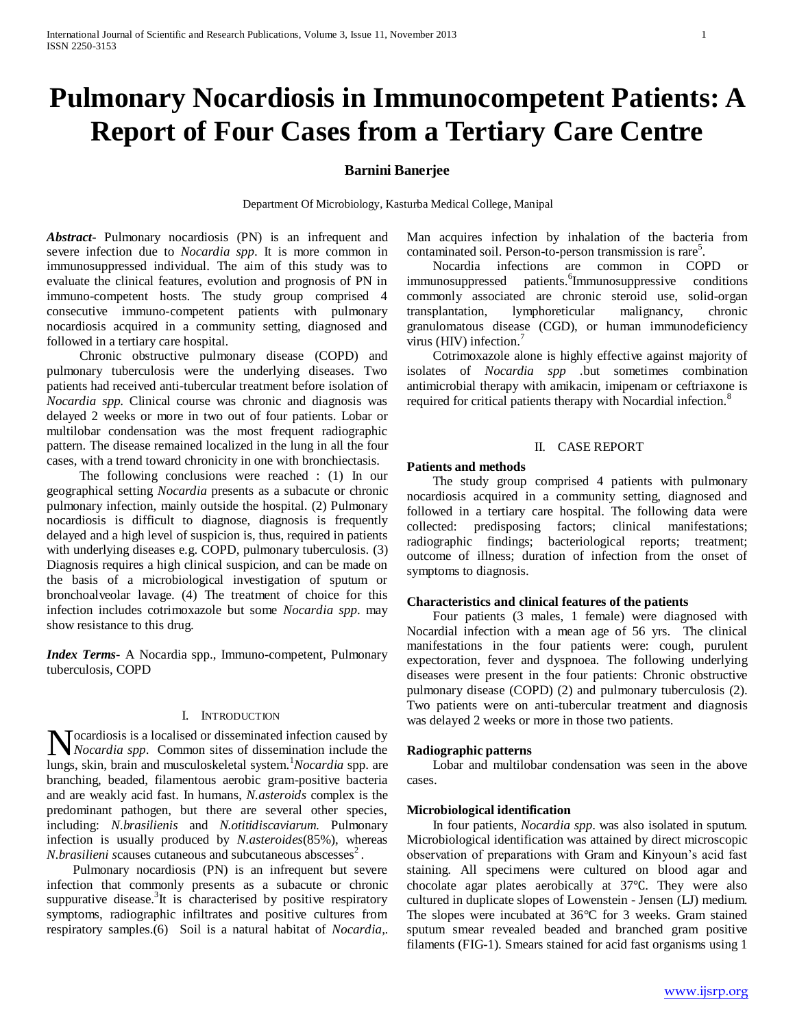# **Pulmonary Nocardiosis in Immunocompetent Patients: A Report of Four Cases from a Tertiary Care Centre**

## **Barnini Banerjee**

Department Of Microbiology, Kasturba Medical College, Manipal

*Abstract***-** Pulmonary nocardiosis (PN) is an infrequent and severe infection due to *Nocardia spp*. It is more common in immunosuppressed individual. The aim of this study was to evaluate the clinical features, evolution and prognosis of PN in immuno-competent hosts. The study group comprised 4 consecutive immuno-competent patients with pulmonary nocardiosis acquired in a community setting, diagnosed and followed in a tertiary care hospital.

 Chronic obstructive pulmonary disease (COPD) and pulmonary tuberculosis were the underlying diseases. Two patients had received anti-tubercular treatment before isolation of *Nocardia spp*. Clinical course was chronic and diagnosis was delayed 2 weeks or more in two out of four patients. Lobar or multilobar condensation was the most frequent radiographic pattern. The disease remained localized in the lung in all the four cases, with a trend toward chronicity in one with bronchiectasis.

 The following conclusions were reached : (1) In our geographical setting *Nocardia* presents as a subacute or chronic pulmonary infection, mainly outside the hospital. (2) Pulmonary nocardiosis is difficult to diagnose, diagnosis is frequently delayed and a high level of suspicion is, thus, required in patients with underlying diseases e.g. COPD, pulmonary tuberculosis. (3) Diagnosis requires a high clinical suspicion, and can be made on the basis of a microbiological investigation of sputum or bronchoalveolar lavage. (4) The treatment of choice for this infection includes cotrimoxazole but some *Nocardia spp*. may show resistance to this drug.

*Index Terms*- A Nocardia spp., Immuno-competent, Pulmonary tuberculosis, COPD

#### I. INTRODUCTION

Nocardiosis is a localised or disseminated infection caused by *Nocardia spp*. Common sites of dissemination include the *Nocardia spp*. Common sites of dissemination include the lungs, skin, brain and musculoskeletal system.<sup>1</sup>*Nocardia* spp. are branching, beaded, filamentous aerobic gram-positive bacteria and are weakly acid fast. In humans, *N.asteroids* complex is the predominant pathogen, but there are several other species, including: *N.brasilienis* and *N.otitidiscaviarum.* Pulmonary infection is usually produced by *N.asteroides*(85%), whereas *N.brasilieni scauses cutaneous and subcutaneous abscesses<sup>2</sup>*.

 Pulmonary nocardiosis (PN) is an infrequent but severe infection that commonly presents as a subacute or chronic suppurative disease.<sup>3</sup>It is characterised by positive respiratory symptoms, radiographic infiltrates and positive cultures from respiratory samples.(6) Soil is a natural habitat of *Nocardia,.*

Man acquires infection by inhalation of the bacteria from contaminated soil. Person-to-person transmission is rare<sup>5</sup>.

 Nocardia infections are common in COPD or immunosuppressed patients. <sup>6</sup>Immunosuppressive conditions commonly associated are chronic steroid use, solid-organ transplantation, lymphoreticular malignancy, chronic granulomatous disease (CGD), or human immunodeficiency virus (HIV) infection.<sup>7</sup>

 Cotrimoxazole alone is highly effective against majority of isolates of *Nocardia spp .*but sometimes combination antimicrobial therapy with amikacin, imipenam or ceftriaxone is required for critical patients therapy with Nocardial infection.<sup>8</sup>

### II. CASE REPORT

#### **Patients and methods**

 The study group comprised 4 patients with pulmonary nocardiosis acquired in a community setting, diagnosed and followed in a tertiary care hospital. The following data were collected: predisposing factors; clinical manifestations; radiographic findings; bacteriological reports; treatment; outcome of illness; duration of infection from the onset of symptoms to diagnosis.

#### **Characteristics and clinical features of the patients**

 Four patients (3 males, 1 female) were diagnosed with Nocardial infection with a mean age of 56 yrs. The clinical manifestations in the four patients were: cough, purulent expectoration, fever and dyspnoea. The following underlying diseases were present in the four patients: Chronic obstructive pulmonary disease (COPD) (2) and pulmonary tuberculosis (2). Two patients were on anti-tubercular treatment and diagnosis was delayed 2 weeks or more in those two patients.

#### **Radiographic patterns**

 Lobar and multilobar condensation was seen in the above cases.

#### **Microbiological identification**

 In four patients, *Nocardia spp*. was also isolated in sputum. Microbiological identification was attained by direct microscopic observation of preparations with Gram and Kinyoun's acid fast staining. All specimens were cultured on blood agar and chocolate agar plates aerobically at 37℃. They were also cultured in duplicate slopes of Lowenstein - Jensen (LJ) medium. The slopes were incubated at 36°C for 3 weeks. Gram stained sputum smear revealed beaded and branched gram positive filaments (FIG-1). Smears stained for acid fast organisms using 1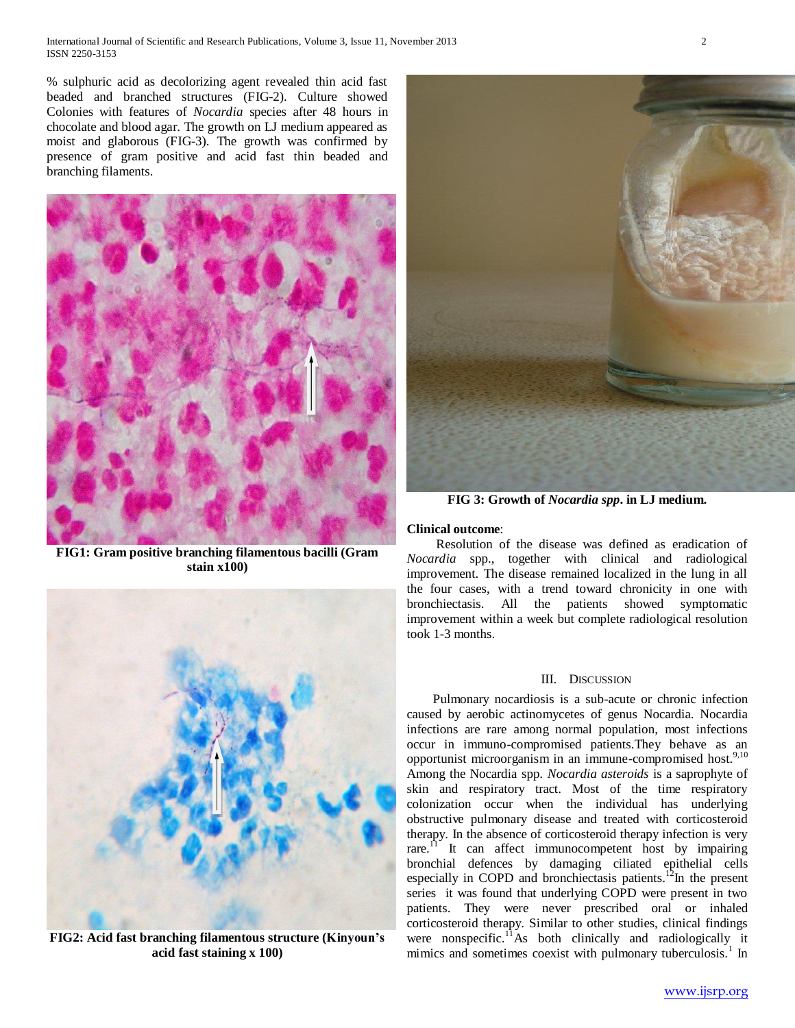% sulphuric acid as decolorizing agent revealed thin acid fast beaded and branched structures (FIG-2). Culture showed Colonies with features of *Nocardia* species after 48 hours in chocolate and blood agar. The growth on LJ medium appeared as moist and glaborous (FIG-3). The growth was confirmed by presence of gram positive and acid fast thin beaded and branching filaments.



**FIG1: Gram positive branching filamentous bacilli (Gram stain x100)**



**FIG2: Acid fast branching filamentous structure (Kinyoun's acid fast staining x 100)**



**FIG 3: Growth of** *Nocardia spp***. in LJ medium.**

## **Clinical outcome**:

 Resolution of the disease was defined as eradication of *Nocardia* spp., together with clinical and radiological improvement. The disease remained localized in the lung in all the four cases, with a trend toward chronicity in one with bronchiectasis. All the patients showed symptomatic improvement within a week but complete radiological resolution took 1-3 months.

## III. DISCUSSION

 Pulmonary nocardiosis is a sub-acute or chronic infection caused by aerobic actinomycetes of genus Nocardia. Nocardia infections are rare among normal population, most infections occur in immuno-compromised patients.They behave as an opportunist microorganism in an immune-compromised host.<sup>9,10</sup> Among the Nocardia spp*. Nocardia asteroids* is a saprophyte of skin and respiratory tract. Most of the time respiratory colonization occur when the individual has underlying obstructive pulmonary disease and treated with corticosteroid therapy. In the absence of corticosteroid therapy infection is very rare.<sup> $\overrightarrow{n}$ </sup> It can affect immunocompetent host by impairing bronchial defences by damaging ciliated epithelial cells especially in COPD and bronchiectasis patients.<sup>12</sup>In the present series it was found that underlying COPD were present in two patients. They were never prescribed oral or inhaled corticosteroid therapy. Similar to other studies, clinical findings were nonspecific.<sup>11</sup>As both clinically and radiologically it mimics and sometimes coexist with pulmonary tuberculosis.<sup>1</sup> In